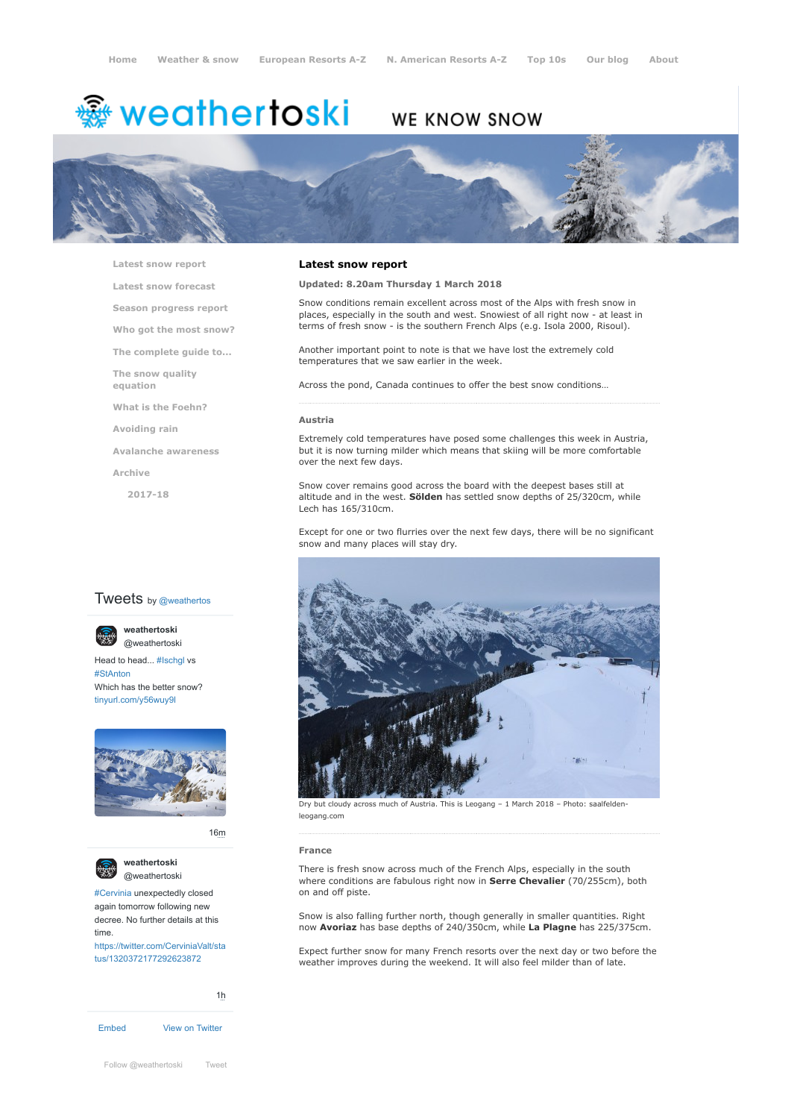# <del>鑾</del> weathertoski

# WE KNOW SNOW



**[Latest snow report](https://www.weathertoski.co.uk/weather-snow/latest-snow-report/)**

**[Latest snow forecast](https://www.weathertoski.co.uk/weather-snow/latest-snow-forecast/)**

**[Season progress report](https://www.weathertoski.co.uk/weather-snow/season-progress-report/)**

**[Who got the most snow?](https://www.weathertoski.co.uk/weather-snow/who-got-the-most-snow/)**

**[The complete guide to...](https://www.weathertoski.co.uk/weather-snow/the-complete-guide-to/)**

**[The snow quality](https://www.weathertoski.co.uk/weather-snow/the-snow-quality-equation/)**

**[What is the Foehn?](https://www.weathertoski.co.uk/weather-snow/what-is-the-foehn/)**

**[Avoiding rain](https://www.weathertoski.co.uk/weather-snow/avoiding-rain/)**

**[Avalanche awareness](https://www.weathertoski.co.uk/weather-snow/avalanche-awareness/)**

**[Archive](https://www.weathertoski.co.uk/weather-snow/archive/)**

**equation**

**[2017-18](https://www.weathertoski.co.uk/weather-snow/archive/2017-18/)**

# **Tweets** by @weathertos

Head to head... [#Ischgl](https://twitter.com/hashtag/Ischgl?src=hash) vs [#StAnton](https://twitter.com/hashtag/StAnton?src=hash) Which has the better snow? [tinyurl.com/y56wuy9l](https://t.co/AeKkyB0N9S) **weathertoski** [@weathertoski](https://twitter.com/weathertoski)



[16m](https://twitter.com/weathertoski/status/1320387692862050304)



**weathertoski** [@weathertoski](https://twitter.com/weathertoski)

[#Cervinia](https://twitter.com/hashtag/Cervinia?src=hash) unexpectedly closed again tomorrow following new decree. No further details at this time. [https://twitter.com/CerviniaValt/sta](https://twitter.com/CerviniaValt/status/1320372177292623872)

tus/1320372177292623872

[1h](https://twitter.com/weathertoski/status/1320376647305093126)

[Embed](https://publish.twitter.com/?url=https%3A%2F%2Ftwitter.com%2Fweathertoski) [View on Twitter](https://twitter.com/weathertoski)

# **Latest snow report**

# **Updated: 8.20am Thursday 1 March 2018**

Snow conditions remain excellent across most of the Alps with fresh snow in places, especially in the south and west. Snowiest of all right now - at least in terms of fresh snow - is the southern French Alps (e.g. Isola 2000, Risoul).

Another important point to note is that we have lost the extremely cold temperatures that we saw earlier in the week.

Across the pond, Canada continues to offer the best snow conditions…

#### **Austria**

Extremely cold temperatures have posed some challenges this week in Austria, but it is now turning milder which means that skiing will be more comfortable over the next few days.

Snow cover remains good across the board with the deepest bases still at altitude and in the west. **Sölden** has settled snow depths of 25/320cm, while Lech has 165/310cm.

Except for one or two flurries over the next few days, there will be no significant snow and many places will stay dry.



Dry but cloudy across much of Austria. This is Leogang – 1 March 2018 – Photo: saalfeldenleogang.com

#### **France**

There is fresh snow across much of the French Alps, especially in the south where conditions are fabulous right now in **Serre Chevalier** (70/255cm), both on and off piste.

Snow is also falling further north, though generally in smaller quantities. Right now **Avoriaz** has base depths of 240/350cm, while **La Plagne** has 225/375cm.

Expect further snow for many French resorts over the next day or two before the weather improves during the weekend. It will also feel milder than of late.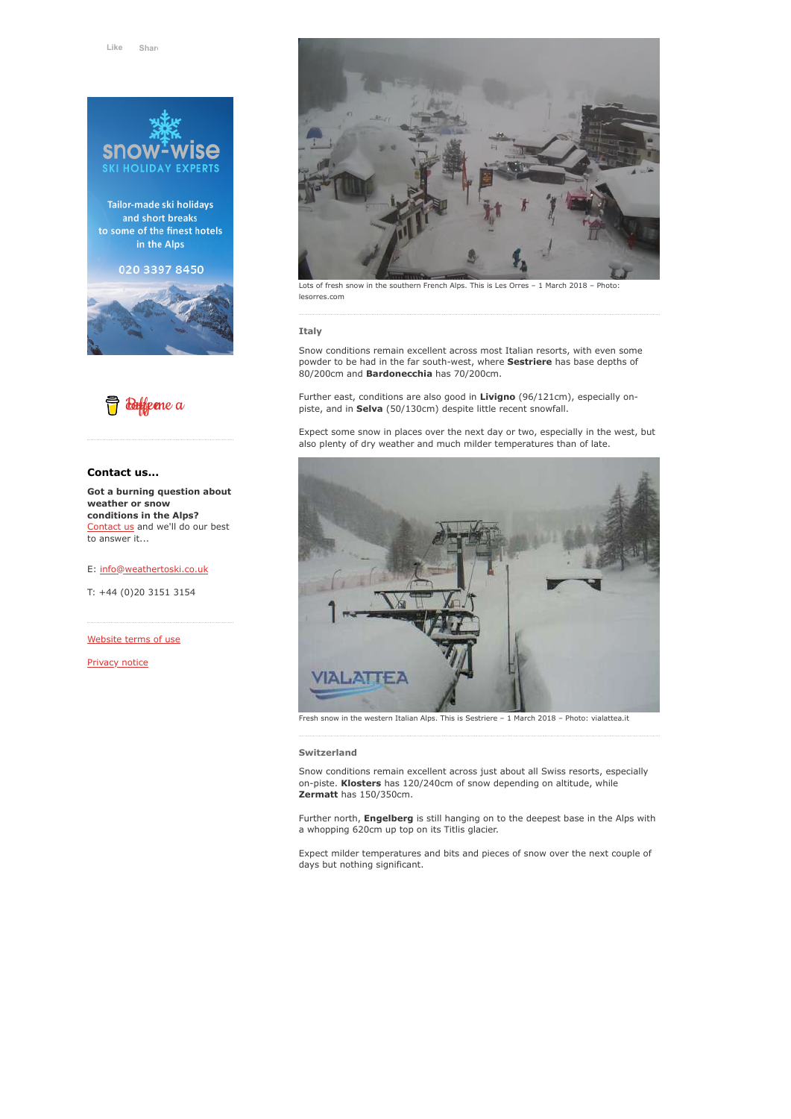

Tailor-made ski holidays and short breaks to some of the finest hotels in the Alps

020 3397 8450





#### **Contact us...**

**Got a burning question about weather or snow conditions in the Alps?** [Contact us](https://www.weathertoski.co.uk/about-1/contact-us/) and we'll do our best to answer it...

E: [info@weathertoski.co.uk](mailto:fraser@weathertoski.co.uk)

T: +44 (0)20 3151 3154

[Website terms of use](https://www.weathertoski.co.uk/about-1/website-terms-of-use/)

[Privacy notice](https://www.weathertoski.co.uk/about-1/privacy-notice/)



Lots of fresh snow in the southern French Alps. This is Les Orres – 1 March 2018 – Photo: lesorres.com

#### **Italy**

Snow conditions remain excellent across most Italian resorts, with even some powder to be had in the far south-west, where **Sestriere** has base depths of 80/200cm and **Bardonecchia** has 70/200cm.

Further east, conditions are also good in **Livigno** (96/121cm), especially onpiste, and in **Selva** (50/130cm) despite little recent snowfall.

Expect some snow in places over the next day or two, especially in the west, but also plenty of dry weather and much milder temperatures than of late.



Fresh snow in the western Italian Alps. This is Sestriere – 1 March 2018 – Photo: vialattea.it

#### **Switzerland**

Snow conditions remain excellent across just about all Swiss resorts, especially on-piste. **Klosters** has 120/240cm of snow depending on altitude, while **Zermatt** has 150/350cm.

Further north, **Engelberg** is still hanging on to the deepest base in the Alps with a whopping 620cm up top on its Titlis glacier.

Expect milder temperatures and bits and pieces of snow over the next couple of days but nothing significant.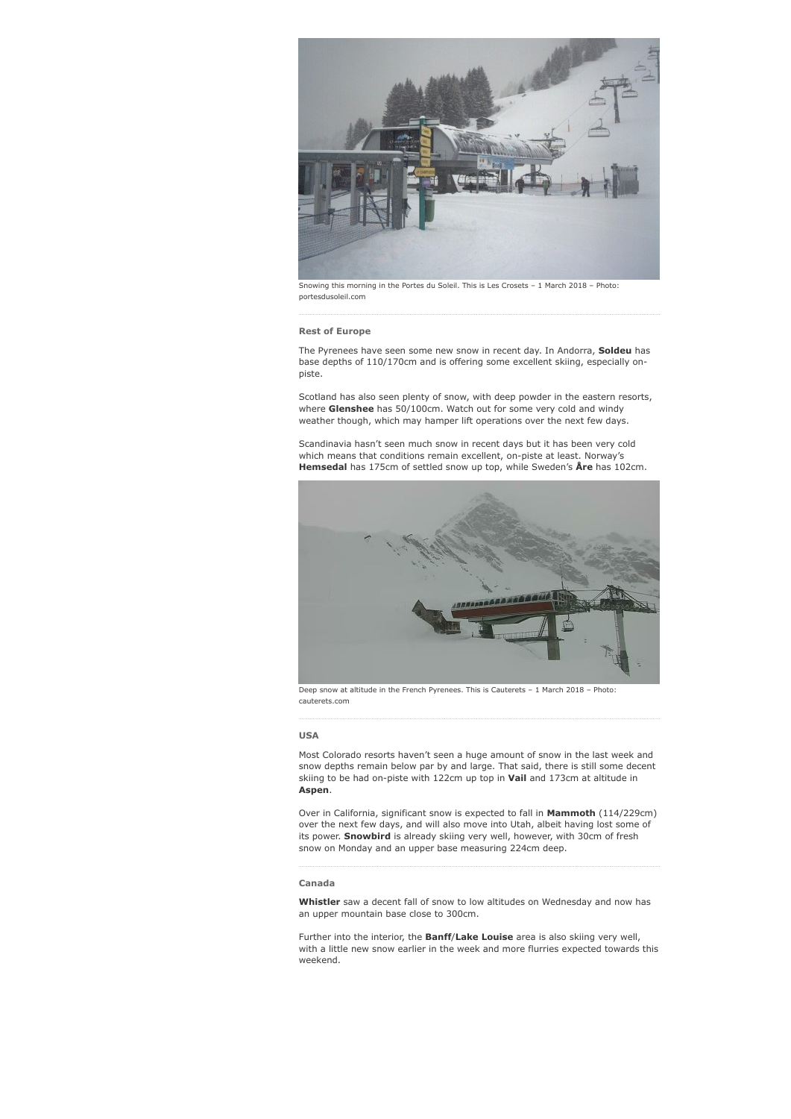

Snowing this morning in the Portes du Soleil. This is Les Crosets – 1 March 2018 – Photo: portesdusoleil.com

#### **Rest of Europe**

The Pyrenees have seen some new snow in recent day. In Andorra, **Soldeu** has base depths of 110/170cm and is offering some excellent skiing, especially onpiste.

Scotland has also seen plenty of snow, with deep powder in the eastern resorts, where **Glenshee** has 50/100cm. Watch out for some very cold and windy weather though, which may hamper lift operations over the next few days.

Scandinavia hasn't seen much snow in recent days but it has been very cold which means that conditions remain excellent, on-piste at least. Norway's **Hemsedal** has 175cm of settled snow up top, while Sweden's **Åre** has 102cm.



Deep snow at altitude in the French Pyrenees. This is Cauterets – 1 March 2018 – Photo: cauterets.com

# **USA**

Most Colorado resorts haven't seen a huge amount of snow in the last week and snow depths remain below par by and large. That said, there is still some decent skiing to be had on-piste with 122cm up top in **Vail** and 173cm at altitude in **Aspen**.

Over in California, significant snow is expected to fall in **Mammoth** (114/229cm) over the next few days, and will also move into Utah, albeit having lost some of its power. **Snowbird** is already skiing very well, however, with 30cm of fresh snow on Monday and an upper base measuring 224cm deep.

#### **Canada**

**Whistler** saw a decent fall of snow to low altitudes on Wednesday and now has an upper mountain base close to 300cm.

Further into the interior, the **Banff**/**Lake Louise** area is also skiing very well, with a little new snow earlier in the week and more flurries expected towards this weekend.